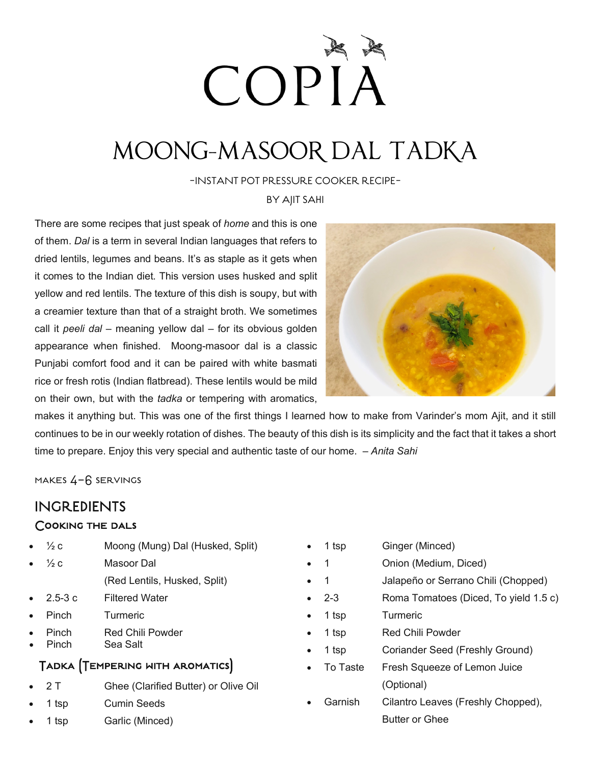# COPIA

### MOONG-MASOOR DAL TADKA

-INSTANT POT PRESSURE COOKER RECIPE-

BY AJIT SAHI

There are some recipes that just speak of *home* and this is one of them. *Dal* is a term in several Indian languages that refers to dried lentils, legumes and beans. It's as staple as it gets when it comes to the Indian diet. This version uses husked and split yellow and red lentils. The texture of this dish is soupy, but with a creamier texture than that of a straight broth. We sometimes call it *peeli dal* – meaning yellow dal – for its obvious golden appearance when finished. Moong-masoor dal is a classic Punjabi comfort food and it can be paired with white basmati rice or fresh rotis (Indian flatbread). These lentils would be mild on their own, but with the *tadka* or tempering with aromatics,



makes it anything but. This was one of the first things I learned how to make from Varinder's mom Ajit, and it still continues to be in our weekly rotation of dishes. The beauty of this dish is its simplicity and the fact that it takes a short time to prepare. Enjoy this very special and authentic taste of our home. *– Anita Sahi*

makes 4-6 servings

### INGREDIENTS

#### Cooking the dals

- $\frac{1}{2}c$  Moong (Mung) Dal (Husked, Split)
- $\frac{1}{2}c$  Masoor Dal (Red Lentils, Husked, Split)
- 2.5-3 c Filtered Water
- Pinch Turmeric
- Pinch Red Chili Powder
- Pinch Sea Salt

### Tadka (Tempering with aromatics)

- 2 T Ghee (Clarified Butter) or Olive Oil
- 1 tsp **Cumin Seeds**
- 1 tsp **Garlic (Minced)**
- 1 tsp **Ginger (Minced)**
- 1 **Combin (Medium, Diced)**
- 1 Jalapeño or Serrano Chili (Chopped)
- 2-3 Roma Tomatoes (Diced, To yield 1.5 c)
- 1 tsp Turmeric
- 1 tsp Red Chili Powder
- 1 tsp Coriander Seed (Freshly Ground)
- To Taste Fresh Squeeze of Lemon Juice (Optional)
- Garnish Cilantro Leaves (Freshly Chopped), Butter or Ghee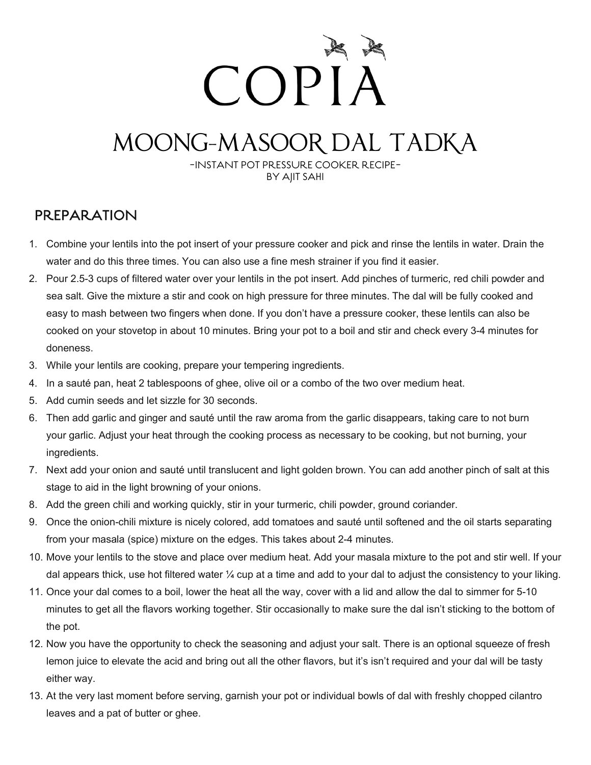# COPIA

### MOONG-MASOOR DAL TADKA

-INSTANT POT PRESSURE COOKER RECIPE-BY AJIT SAHI

### PREPARATION

- 1. Combine your lentils into the pot insert of your pressure cooker and pick and rinse the lentils in water. Drain the water and do this three times. You can also use a fine mesh strainer if you find it easier.
- 2. Pour 2.5-3 cups of filtered water over your lentils in the pot insert. Add pinches of turmeric, red chili powder and sea salt. Give the mixture a stir and cook on high pressure for three minutes. The dal will be fully cooked and easy to mash between two fingers when done. If you don't have a pressure cooker, these lentils can also be cooked on your stovetop in about 10 minutes. Bring your pot to a boil and stir and check every 3-4 minutes for doneness.
- 3. While your lentils are cooking, prepare your tempering ingredients.
- 4. In a sauté pan, heat 2 tablespoons of ghee, olive oil or a combo of the two over medium heat.
- 5. Add cumin seeds and let sizzle for 30 seconds.
- 6. Then add garlic and ginger and sauté until the raw aroma from the garlic disappears, taking care to not burn your garlic. Adjust your heat through the cooking process as necessary to be cooking, but not burning, your ingredients.
- 7. Next add your onion and sauté until translucent and light golden brown. You can add another pinch of salt at this stage to aid in the light browning of your onions.
- 8. Add the green chili and working quickly, stir in your turmeric, chili powder, ground coriander.
- 9. Once the onion-chili mixture is nicely colored, add tomatoes and sauté until softened and the oil starts separating from your masala (spice) mixture on the edges. This takes about 2-4 minutes.
- 10. Move your lentils to the stove and place over medium heat. Add your masala mixture to the pot and stir well. If your dal appears thick, use hot filtered water ¼ cup at a time and add to your dal to adjust the consistency to your liking.
- 11. Once your dal comes to a boil, lower the heat all the way, cover with a lid and allow the dal to simmer for 5-10 minutes to get all the flavors working together. Stir occasionally to make sure the dal isn't sticking to the bottom of the pot.
- 12. Now you have the opportunity to check the seasoning and adjust your salt. There is an optional squeeze of fresh lemon juice to elevate the acid and bring out all the other flavors, but it's isn't required and your dal will be tasty either way.
- 13. At the very last moment before serving, garnish your pot or individual bowls of dal with freshly chopped cilantro leaves and a pat of butter or ghee.